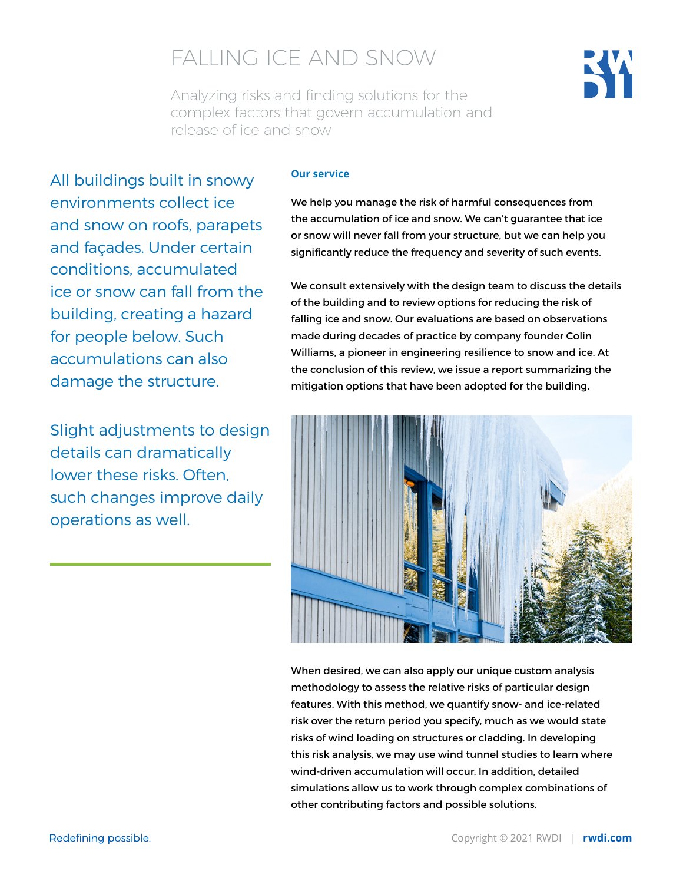# FALLING ICE AND SNOW

Analyzing risks and finding solutions for the complex factors that govern accumulation and release of ice and snow

# All buildings built in snowy environments collect ice and snow on roofs, parapets and façades. Under certain conditions, accumulated ice or snow can fall from the building, creating a hazard for people below. Such accumulations can also damage the structure.

Slight adjustments to design details can dramatically lower these risks. Often such changes improve daily operations as well.

### **Our service**

We help you manage the risk of harmful consequences from the accumulation of ice and snow. We can't guarantee that ice or snow will never fall from your structure, but we can help you significantly reduce the frequency and severity of such events.

We consult extensively with the design team to discuss the details of the building and to review options for reducing the risk of falling ice and snow. Our evaluations are based on observations made during decades of practice by company founder Colin Williams, a pioneer in engineering resilience to snow and ice. At the conclusion of this review, we issue a report summarizing the mitigation options that have been adopted for the building.



When desired, we can also apply our unique custom analysis methodology to assess the relative risks of particular design features. With this method, we quantify snow- and ice-related risk over the return period you specify, much as we would state risks of wind loading on structures or cladding. In developing this risk analysis, we may use wind tunnel studies to learn where wind-driven accumulation will occur. In addition, detailed simulations allow us to work through complex combinations of other contributing factors and possible solutions.

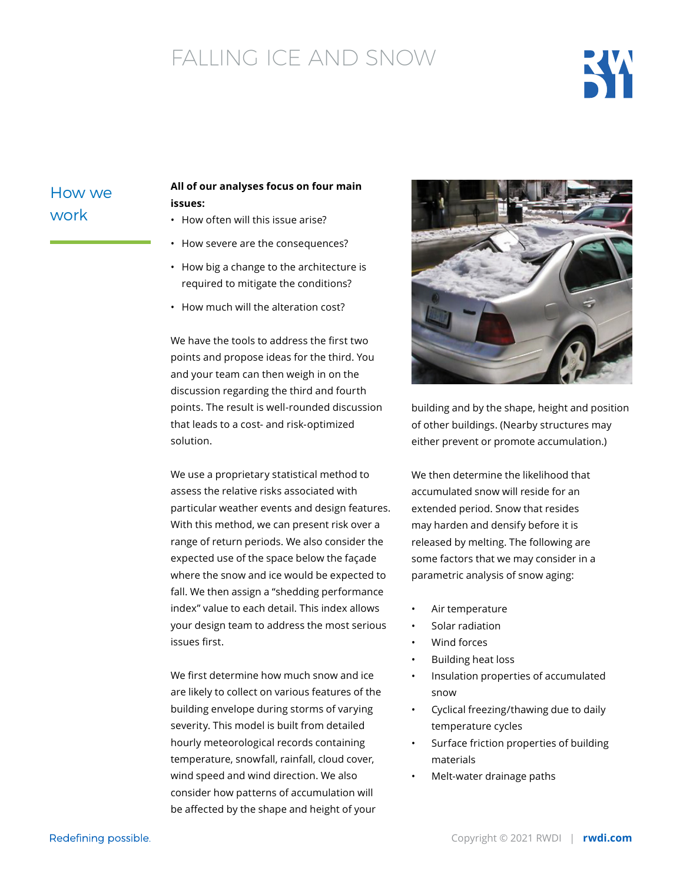# FALLING ICE AND SNOW



# How we work

## **All of our analyses focus on four main issues:**

- How often will this issue arise?
- How severe are the consequences?
- How big a change to the architecture is required to mitigate the conditions?
- How much will the alteration cost?

We have the tools to address the first two points and propose ideas for the third. You and your team can then weigh in on the discussion regarding the third and fourth points. The result is well-rounded discussion that leads to a cost- and risk-optimized solution.

We use a proprietary statistical method to assess the relative risks associated with particular weather events and design features. With this method, we can present risk over a range of return periods. We also consider the expected use of the space below the façade where the snow and ice would be expected to fall. We then assign a "shedding performance index" value to each detail. This index allows your design team to address the most serious issues first.

We first determine how much snow and ice are likely to collect on various features of the building envelope during storms of varying severity. This model is built from detailed hourly meteorological records containing temperature, snowfall, rainfall, cloud cover, wind speed and wind direction. We also consider how patterns of accumulation will be affected by the shape and height of your



building and by the shape, height and position of other buildings. (Nearby structures may either prevent or promote accumulation.)

We then determine the likelihood that accumulated snow will reside for an extended period. Snow that resides may harden and densify before it is released by melting. The following are some factors that we may consider in a parametric analysis of snow aging:

- Air temperature
- Solar radiation
- Wind forces
- Building heat loss
- Insulation properties of accumulated snow
- Cyclical freezing/thawing due to daily temperature cycles
- Surface friction properties of building materials
- Melt-water drainage paths